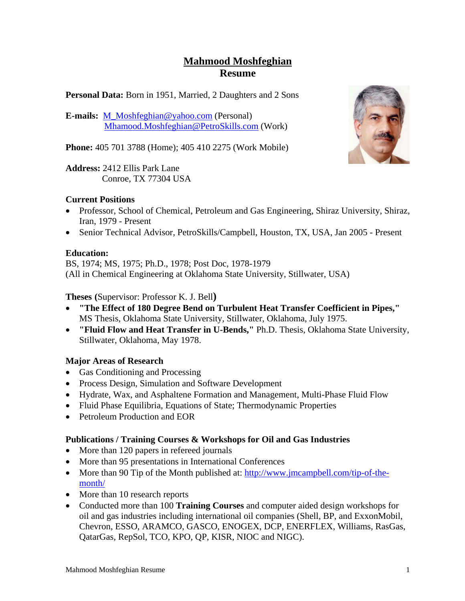# **Mahmood Moshfeghian Resume**

**Personal Data:** Born in 1951, Married, 2 Daughters and 2 Sons

**E-mails:** M\_Moshfeghian@yahoo.com (Personal) Mhamood.Moshfeghian@PetroSkills.com (Work)

**Phone:** 405 701 3788 (Home); 405 410 2275 (Work Mobile)

**Address:** 2412 Ellis Park Lane Conroe, TX 77304 USA

### **Current Positions**

- Professor, School of Chemical, Petroleum and Gas Engineering, Shiraz University, Shiraz, Iran, 1979 - Present
- Senior Technical Advisor, PetroSkills/Campbell, Houston, TX, USA, Jan 2005 Present

### **Education:**

BS, 1974; MS, 1975; Ph.D., 1978; Post Doc, 1978-1979 (All in Chemical Engineering at Oklahoma State University, Stillwater, USA)

**Theses (**Supervisor: Professor K. J. Bell**)** 

- **"The Effect of 180 Degree Bend on Turbulent Heat Transfer Coefficient in Pipes,"**  MS Thesis, Oklahoma State University, Stillwater, Oklahoma, July 1975.
- **"Fluid Flow and Heat Transfer in U-Bends,"** Ph.D. Thesis, Oklahoma State University, Stillwater, Oklahoma, May 1978.

## **Major Areas of Research**

- Gas Conditioning and Processing
- Process Design, Simulation and Software Development
- Hydrate, Wax, and Asphaltene Formation and Management, Multi-Phase Fluid Flow
- Fluid Phase Equilibria, Equations of State; Thermodynamic Properties
- Petroleum Production and EOR

### **Publications / Training Courses & Workshops for Oil and Gas Industries**

- More than 120 papers in refereed journals
- More than 95 presentations in International Conferences
- More than 90 Tip of the Month published at: http://www.jmcampbell.com/tip-of-themonth/
- More than 10 research reports
- Conducted more than 100 **Training Courses** and computer aided design workshops for oil and gas industries including international oil companies (Shell, BP, and ExxonMobil, Chevron, ESSO, ARAMCO, GASCO, ENOGEX, DCP, ENERFLEX, Williams, RasGas, QatarGas, RepSol, TCO, KPO, QP, KISR, NIOC and NIGC).

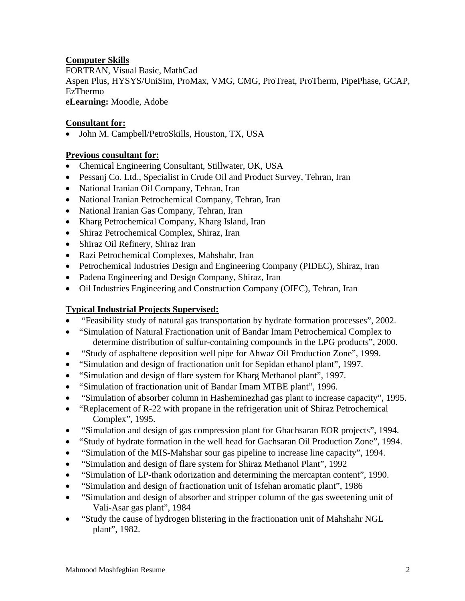## **Computer Skills**

FORTRAN, Visual Basic, MathCad Aspen Plus, HYSYS/UniSim, ProMax, VMG, CMG, ProTreat, ProTherm, PipePhase, GCAP, EzThermo **eLearning:** Moodle, Adobe

### **Consultant for:**

John M. Campbell/PetroSkills, Houston, TX, USA

### **Previous consultant for:**

- Chemical Engineering Consultant, Stillwater, OK, USA
- Pessanj Co. Ltd., Specialist in Crude Oil and Product Survey, Tehran, Iran
- National Iranian Oil Company, Tehran, Iran
- National Iranian Petrochemical Company, Tehran, Iran
- National Iranian Gas Company, Tehran, Iran
- Kharg Petrochemical Company, Kharg Island, Iran
- Shiraz Petrochemical Complex, Shiraz, Iran
- Shiraz Oil Refinery, Shiraz Iran
- Razi Petrochemical Complexes, Mahshahr, Iran
- Petrochemical Industries Design and Engineering Company (PIDEC), Shiraz, Iran
- Padena Engineering and Design Company, Shiraz, Iran
- Oil Industries Engineering and Construction Company (OIEC), Tehran, Iran

## **Typical Industrial Projects Supervised:**

- "Feasibility study of natural gas transportation by hydrate formation processes", 2002.
- "Simulation of Natural Fractionation unit of Bandar Imam Petrochemical Complex to determine distribution of sulfur-containing compounds in the LPG products", 2000.
- "Study of asphaltene deposition well pipe for Ahwaz Oil Production Zone", 1999.
- "Simulation and design of fractionation unit for Sepidan ethanol plant", 1997.
- "Simulation and design of flare system for Kharg Methanol plant", 1997.
- "Simulation of fractionation unit of Bandar Imam MTBE plant", 1996.
- "Simulation of absorber column in Hasheminezhad gas plant to increase capacity", 1995.
- "Replacement of R-22 with propane in the refrigeration unit of Shiraz Petrochemical Complex", 1995.
- "Simulation and design of gas compression plant for Ghachsaran EOR projects", 1994.
- "Study of hydrate formation in the well head for Gachsaran Oil Production Zone", 1994.
- "Simulation of the MIS-Mahshar sour gas pipeline to increase line capacity", 1994.
- "Simulation and design of flare system for Shiraz Methanol Plant", 1992
- "Simulation of LP-thank odorization and determining the mercaptan content", 1990.
- "Simulation and design of fractionation unit of Isfehan aromatic plant", 1986
- "Simulation and design of absorber and stripper column of the gas sweetening unit of Vali-Asar gas plant", 1984
- "Study the cause of hydrogen blistering in the fractionation unit of Mahshahr NGL plant", 1982.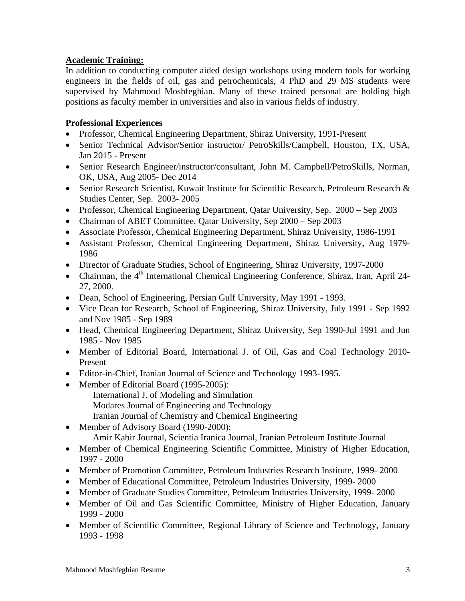### **Academic Training:**

In addition to conducting computer aided design workshops using modern tools for working engineers in the fields of oil, gas and petrochemicals, 4 PhD and 29 MS students were supervised by Mahmood Moshfeghian. Many of these trained personal are holding high positions as faculty member in universities and also in various fields of industry.

## **Professional Experiences**

- Professor, Chemical Engineering Department, Shiraz University, 1991-Present
- Senior Technical Advisor/Senior instructor/ PetroSkills/Campbell, Houston, TX, USA, Jan 2015 - Present
- Senior Research Engineer/instructor/consultant, John M. Campbell/PetroSkills, Norman, OK, USA, Aug 2005- Dec 2014
- Senior Research Scientist, Kuwait Institute for Scientific Research, Petroleum Research & Studies Center, Sep. 2003- 2005
- Professor, Chemical Engineering Department, Qatar University, Sep. 2000 Sep 2003
- Chairman of ABET Committee, Qatar University, Sep 2000 Sep 2003
- Associate Professor, Chemical Engineering Department, Shiraz University, 1986-1991
- Assistant Professor, Chemical Engineering Department, Shiraz University, Aug 1979- 1986
- Director of Graduate Studies, School of Engineering, Shiraz University, 1997-2000
- Chairman, the  $4<sup>th</sup>$  International Chemical Engineering Conference, Shiraz, Iran, April 24-27, 2000.
- Dean, School of Engineering, Persian Gulf University, May 1991 1993.
- Vice Dean for Research, School of Engineering, Shiraz University, July 1991 Sep 1992 and Nov 1985 - Sep 1989
- Head, Chemical Engineering Department, Shiraz University, Sep 1990-Jul 1991 and Jun 1985 - Nov 1985
- Member of Editorial Board, International J. of Oil, Gas and Coal Technology 2010- Present
- Editor-in-Chief, Iranian Journal of Science and Technology 1993-1995.
- Member of Editorial Board (1995-2005):
	- International J. of Modeling and Simulation Modares Journal of Engineering and Technology
		- Iranian Journal of Chemistry and Chemical Engineering
- Member of Advisory Board (1990-2000):
	- Amir Kabir Journal, Scientia Iranica Journal, Iranian Petroleum Institute Journal
- Member of Chemical Engineering Scientific Committee, Ministry of Higher Education, 1997 - 2000
- Member of Promotion Committee, Petroleum Industries Research Institute, 1999- 2000
- Member of Educational Committee, Petroleum Industries University, 1999- 2000
- Member of Graduate Studies Committee, Petroleum Industries University, 1999- 2000
- Member of Oil and Gas Scientific Committee, Ministry of Higher Education, January 1999 - 2000
- Member of Scientific Committee, Regional Library of Science and Technology, January 1993 - 1998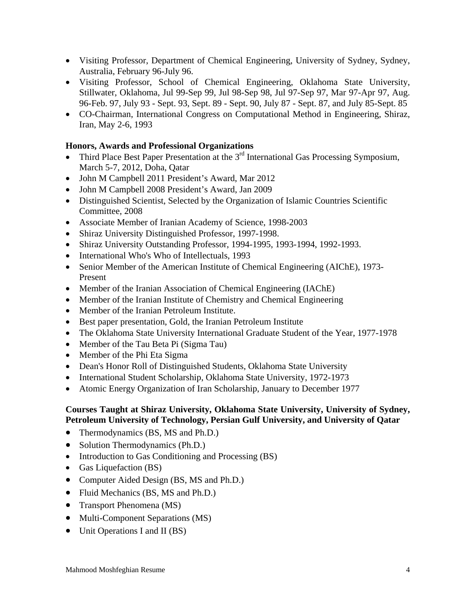- Visiting Professor, Department of Chemical Engineering, University of Sydney, Sydney, Australia, February 96-July 96.
- Visiting Professor, School of Chemical Engineering, Oklahoma State University, Stillwater, Oklahoma, Jul 99-Sep 99, Jul 98-Sep 98, Jul 97-Sep 97, Mar 97-Apr 97, Aug. 96-Feb. 97, July 93 - Sept. 93, Sept. 89 - Sept. 90, July 87 - Sept. 87, and July 85-Sept. 85
- CO-Chairman, International Congress on Computational Method in Engineering, Shiraz, Iran, May 2-6, 1993

### **Honors, Awards and Professional Organizations**

- Third Place Best Paper Presentation at the 3<sup>rd</sup> International Gas Processing Symposium, March 5-7, 2012, Doha, Qatar
- John M Campbell 2011 President's Award, Mar 2012
- John M Campbell 2008 President's Award, Jan 2009
- Distinguished Scientist, Selected by the Organization of Islamic Countries Scientific Committee, 2008
- Associate Member of Iranian Academy of Science, 1998-2003
- Shiraz University Distinguished Professor, 1997-1998.
- Shiraz University Outstanding Professor, 1994-1995, 1993-1994, 1992-1993.
- International Who's Who of Intellectuals, 1993
- Senior Member of the American Institute of Chemical Engineering (AIChE), 1973-Present
- Member of the Iranian Association of Chemical Engineering (IAChE)
- Member of the Iranian Institute of Chemistry and Chemical Engineering
- Member of the Iranian Petroleum Institute.
- Best paper presentation, Gold, the Iranian Petroleum Institute
- The Oklahoma State University International Graduate Student of the Year, 1977-1978
- Member of the Tau Beta Pi (Sigma Tau)
- Member of the Phi Eta Sigma
- Dean's Honor Roll of Distinguished Students, Oklahoma State University
- International Student Scholarship, Oklahoma State University, 1972-1973
- Atomic Energy Organization of Iran Scholarship, January to December 1977

#### **Courses Taught at Shiraz University, Oklahoma State University, University of Sydney, Petroleum University of Technology, Persian Gulf University, and University of Qatar**

- Thermodynamics (BS, MS and Ph.D.)
- Solution Thermodynamics (Ph.D.)
- Introduction to Gas Conditioning and Processing (BS)
- Gas Liquefaction (BS)
- Computer Aided Design (BS, MS and Ph.D.)
- Fluid Mechanics (BS, MS and Ph.D.)
- Transport Phenomena (MS)
- Multi-Component Separations (MS)
- Unit Operations I and II (BS)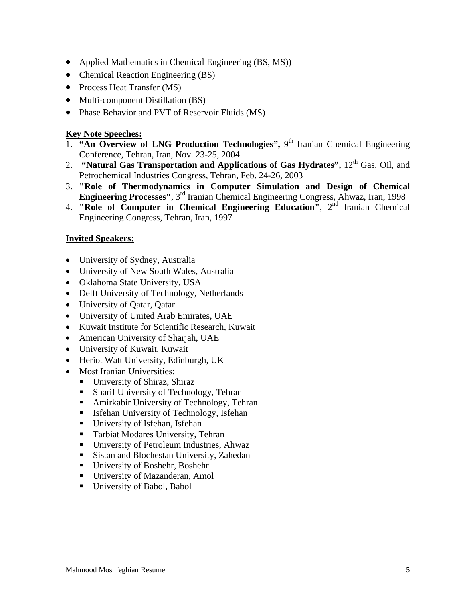- Applied Mathematics in Chemical Engineering (BS, MS))
- Chemical Reaction Engineering (BS)
- Process Heat Transfer (MS)
- Multi-component Distillation (BS)
- Phase Behavior and PVT of Reservoir Fluids (MS)

#### **Key Note Speeches:**

- 1. **"An Overview of LNG Production Technologies",** 9th Iranian Chemical Engineering Conference, Tehran, Iran, Nov. 23-25, 2004
- 2. **"Natural Gas Transportation and Applications of Gas Hydrates",** 12<sup>th</sup> Gas, Oil, and Petrochemical Industries Congress, Tehran, Feb. 24-26, 2003
- 3. **"Role of Thermodynamics in Computer Simulation and Design of Chemical Engineering Processes"**, 3rd Iranian Chemical Engineering Congress, Ahwaz, Iran, 1998
- 4. **"Role of Computer in Chemical Engineering Education"**, 2nd Iranian Chemical Engineering Congress, Tehran, Iran, 1997

#### **Invited Speakers:**

- University of Sydney, Australia
- University of New South Wales, Australia
- Oklahoma State University, USA
- Delft University of Technology, Netherlands
- University of Qatar, Qatar
- University of United Arab Emirates, UAE
- Kuwait Institute for Scientific Research, Kuwait
- American University of Sharjah, UAE
- University of Kuwait, Kuwait
- Heriot Watt University, Edinburgh, UK
- Most Iranian Universities:
	- University of Shiraz, Shiraz
	- **Sharif University of Technology, Tehran**
	- Amirkabir University of Technology, Tehran
	- **Isfehan University of Technology, Isfehan**
	- University of Isfehan, Isfehan
	- Tarbiat Modares University, Tehran
	- University of Petroleum Industries, Ahwaz
	- Sistan and Blochestan University, Zahedan
	- University of Boshehr, Boshehr
	- University of Mazanderan, Amol
	- **University of Babol, Babol**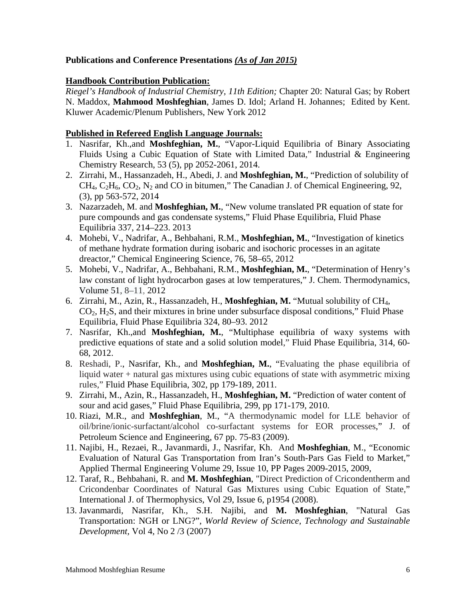### **Publications and Conference Presentations** *(As of Jan 2015)*

### **Handbook Contribution Publication:**

*Riegel's Handbook of Industrial Chemistry, 11th Edition;* Chapter 20: Natural Gas; by Robert N. Maddox, **Mahmood Moshfeghian**, James D. Idol; Arland H. Johannes; Edited by Kent. Kluwer Academic/Plenum Publishers, New York 2012

#### **Published in Refereed English Language Journals:**

- 1. Nasrifar, Kh.,and **Moshfeghian, M.**, "Vapor-Liquid Equilibria of Binary Associating Fluids Using a Cubic Equation of State with Limited Data," Industrial & Engineering Chemistry Research, 53 (5), pp 2052-2061, 2014.
- 2. Zirrahi, M., Hassanzadeh, H., Abedi, J. and **Moshfeghian, M.**, "Prediction of solubility of  $CH_4$ ,  $C_2H_6$ ,  $CO_2$ ,  $N_2$  and  $CO$  in bitumen," The Canadian J. of Chemical Engineering, 92, (3), pp 563-572, 2014
- 3. Nazarzadeh, M. and **Moshfeghian, M.**, "New volume translated PR equation of state for pure compounds and gas condensate systems," Fluid Phase Equilibria, Fluid Phase Equilibria 337, 214–223. 2013
- 4. Mohebi, V., Nadrifar, A., Behbahani, R.M., **Moshfeghian, M.**, "Investigation of kinetics of methane hydrate formation during isobaric and isochoric processes in an agitate dreactor," Chemical Engineering Science, 76, 58–65, 2012
- 5. Mohebi, V., Nadrifar, A., Behbahani, R.M., **Moshfeghian, M.**, "Determination of Henry's law constant of light hydrocarbon gases at low temperatures," J. Chem. Thermodynamics, Volume 51, 8–11, 2012
- 6. Zirrahi, M., Azin, R., Hassanzadeh, H., **Moshfeghian, M.** "Mutual solubility of CH4,  $CO<sub>2</sub>$ , H<sub>2</sub>S, and their mixtures in brine under subsurface disposal conditions," Fluid Phase Equilibria, Fluid Phase Equilibria 324, 80–93. 2012
- 7. Nasrifar, Kh.,and **Moshfeghian, M.**, "Multiphase equilibria of waxy systems with predictive equations of state and a solid solution model," Fluid Phase Equilibria, 314, 60- 68, 2012.
- 8. Reshadi, P., Nasrifar, Kh., and **Moshfeghian, M.**, "Evaluating the phase equilibria of liquid water + natural gas mixtures using cubic equations of state with asymmetric mixing rules," Fluid Phase Equilibria, 302, pp 179-189, 2011.
- 9. Zirrahi, M., Azin, R., Hassanzadeh, H., **Moshfeghian, M.** "Prediction of water content of sour and acid gases," Fluid Phase Equilibria, 299, pp 171-179, 2010.
- 10. Riazi, M.R., and **Moshfeghian**, M., "A thermodynamic model for LLE behavior of oil/brine/ionic-surfactant/alcohol co-surfactant systems for EOR processes," J. of Petroleum Science and Engineering, 67 pp. 75-83 (2009).
- 11. Najibi, H., Rezaei, R., Javanmardi, J., Nasrifar, Kh. And **Moshfeghian**, M., "Economic Evaluation of Natural Gas Transportation from Iran's South-Pars Gas Field to Market," Applied Thermal Engineering Volume 29, Issue 10, PP Pages 2009-2015, 2009,
- 12. Taraf, R., Behbahani, R. and **M. Moshfeghian**, "Direct Prediction of Cricondentherm and Cricondenbar Coordinates of Natural Gas Mixtures using Cubic Equation of State," International J. of Thermophysics, Vol 29, Issue 6, p1954 (2008).
- 13. Javanmardi, Nasrifar, Kh., S.H. Najibi, and **M. Moshfeghian**, "Natural Gas Transportation: NGH or LNG?", *World Review of Science, Technology and Sustainable Development,* Vol 4, No 2 /3 (2007)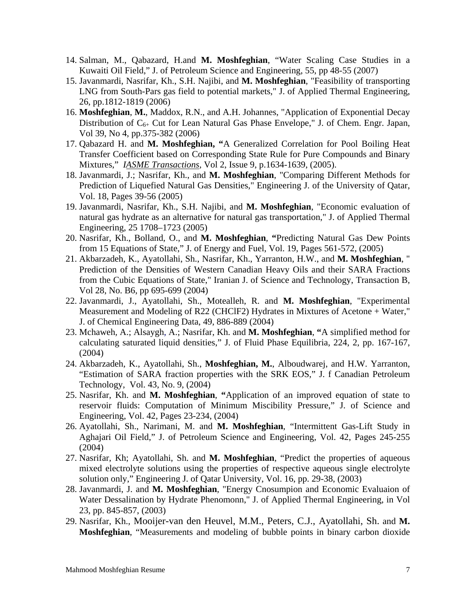- 14. Salman, M., Qabazard, H.and **M. Moshfeghian**, "Water Scaling Case Studies in a Kuwaiti Oil Field," J. of Petroleum Science and Engineering, 55, pp 48-55 (2007)
- 15. Javanmardi, Nasrifar, Kh., S.H. Najibi, and **M. Moshfeghian**, "Feasibility of transporting LNG from South-Pars gas field to potential markets," J. of Applied Thermal Engineering, 26, pp.1812-1819 (2006)
- 16. **Moshfeghian**, **M.**, Maddox, R.N., and A.H. Johannes, "Application of Exponential Decay Distribution of  $C_{6+}$  Cut for Lean Natural Gas Phase Envelope," J. of Chem. Engr. Japan, Vol 39, No 4, pp.375-382 (2006)
- 17. Qabazard H. and **M. Moshfeghian, "**A Generalized Correlation for Pool Boiling Heat Transfer Coefficient based on Corresponding State Rule for Pure Compounds and Binary Mixtures," *IASME Transactions*, Vol 2, Issue 9, p.1634-1639, (2005).
- 18. Javanmardi, J.; Nasrifar, Kh., and **M. Moshfeghian**, "Comparing Different Methods for Prediction of Liquefied Natural Gas Densities," Engineering J. of the University of Qatar, Vol. 18, Pages 39-56 (2005)
- 19. Javanmardi, Nasrifar, Kh., S.H. Najibi, and **M. Moshfeghian**, "Economic evaluation of natural gas hydrate as an alternative for natural gas transportation," J. of Applied Thermal Engineering, 25 1708–1723 (2005)
- 20. Nasrifar, Kh., Bolland, O., and **M. Moshfeghian**, **"**Predicting Natural Gas Dew Points from 15 Equations of State," J. of Energy and Fuel, Vol. 19, Pages 561-572, (2005)
- 21. Akbarzadeh, K., Ayatollahi, Sh., Nasrifar, Kh., Yarranton, H.W., and **M. Moshfeghian**, " Prediction of the Densities of Western Canadian Heavy Oils and their SARA Fractions from the Cubic Equations of State," Iranian J. of Science and Technology, Transaction B, Vol 28, No. B6, pp 695-699 (2004)
- 22. Javanmardi, J., Ayatollahi, Sh., Motealleh, R. and **M. Moshfeghian**, "Experimental Measurement and Modeling of R22 (CHClF2) Hydrates in Mixtures of Acetone + Water," J. of Chemical Engineering Data, 49, 886-889 (2004)
- 23. Mchaweh*,* A.; Alsaygh, A.; Nasrifar, Kh. and **M. Moshfeghian**, **"**A simplified method for calculating saturated liquid densities," J. of Fluid Phase Equilibria, 224, 2, pp. 167-167, (2004)
- 24. Akbarzadeh, K., Ayatollahi, Sh., **Moshfeghian, M.**, Alboudwarej, and H.W. Yarranton, "Estimation of SARA fraction properties with the SRK EOS," J. f Canadian Petroleum Technology, Vol. 43, No. 9, (2004)
- 25. Nasrifar, Kh. and **M. Moshfeghian**, **"**Application of an improved equation of state to reservoir fluids: Computation of Minimum Miscibility Pressure," J. of Science and Engineering, Vol. 42, Pages 23-234, (2004)
- 26. Ayatollahi, Sh., Narimani, M. and **M. Moshfeghian**, "Intermittent Gas-Lift Study in Aghajari Oil Field," J. of Petroleum Science and Engineering, Vol. 42, Pages 245-255 (2004)
- 27. Nasrifar, Kh; Ayatollahi, Sh. and **M. Moshfeghian**, "Predict the properties of aqueous mixed electrolyte solutions using the properties of respective aqueous single electrolyte solution only," Engineering J. of Qatar University, Vol. 16, pp. 29-38, (2003)
- 28. Javanmardi, J. and **M. Moshfeghian**, "Energy Cnosumpion and Economic Evaluaion of Water Dessalination by Hydrate Phenomonn," J. of Applied Thermal Engineering, in Vol 23, pp. 845-857, (2003)
- 29. Nasrifar, Kh., Mooijer-van den Heuvel, M.M., Peters, C.J., Ayatollahi, Sh. and **M. Moshfeghian**, "Measurements and modeling of bubble points in binary carbon dioxide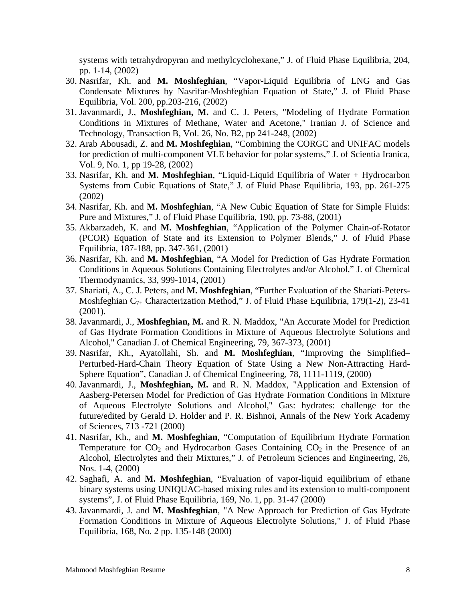systems with tetrahydropyran and methylcyclohexane," J. of Fluid Phase Equilibria, 204, pp. 1-14, (2002)

- 30. Nasrifar, Kh. and **M. Moshfeghian**, "Vapor-Liquid Equilibria of LNG and Gas Condensate Mixtures by Nasrifar-Moshfeghian Equation of State," J. of Fluid Phase Equilibria, Vol. 200, pp.203-216, (2002)
- 31. Javanmardi, J., **Moshfeghian, M.** and C. J. Peters, "Modeling of Hydrate Formation Conditions in Mixtures of Methane, Water and Acetone," Iranian J. of Science and Technology, Transaction B, Vol. 26, No. B2, pp 241-248, (2002)
- 32. Arab Abousadi, Z. and **M. Moshfeghian**, "Combining the CORGC and UNIFAC models for prediction of multi-component VLE behavior for polar systems," J. of Scientia Iranica, Vol. 9, No. 1, pp 19-28, (2002)
- 33. Nasrifar, Kh. and **M. Moshfeghian**, "Liquid-Liquid Equilibria of Water + Hydrocarbon Systems from Cubic Equations of State," J. of Fluid Phase Equilibria, 193, pp. 261-275 (2002)
- 34. Nasrifar, Kh. and **M. Moshfeghian**, "A New Cubic Equation of State for Simple Fluids: Pure and Mixtures," J. of Fluid Phase Equilibria, 190, pp. 73-88, (2001)
- 35. Akbarzadeh, K. and **M. Moshfeghian**, "Application of the Polymer Chain-of-Rotator (PCOR) Equation of State and its Extension to Polymer Blends," J. of Fluid Phase Equilibria, 187-188, pp. 347-361, (2001)
- 36. Nasrifar, Kh. and **M. Moshfeghian**, "A Model for Prediction of Gas Hydrate Formation Conditions in Aqueous Solutions Containing Electrolytes and/or Alcohol," J. of Chemical Thermodynamics, 33, 999-1014, (2001)
- 37. Shariati, A., C. J. Peters, and **M. Moshfeghian**, "Further Evaluation of the Shariati-Peters-Moshfeghian  $C_{7+}$  Characterization Method," J. of Fluid Phase Equilibria, 179(1-2), 23-41 (2001).
- 38. Javanmardi, J., **Moshfeghian, M.** and R. N. Maddox, "An Accurate Model for Prediction of Gas Hydrate Formation Conditions in Mixture of Aqueous Electrolyte Solutions and Alcohol," Canadian J. of Chemical Engineering, 79, 367-373, (2001)
- 39. Nasrifar, Kh., Ayatollahi, Sh. and **M. Moshfeghian**, "Improving the Simplified– Perturbed-Hard-Chain Theory Equation of State Using a New Non-Attracting Hard-Sphere Equation", Canadian J. of Chemical Engineering, 78, 1111-1119, (2000)
- 40. Javanmardi, J., **Moshfeghian, M.** and R. N. Maddox, "Application and Extension of Aasberg-Petersen Model for Prediction of Gas Hydrate Formation Conditions in Mixture of Aqueous Electrolyte Solutions and Alcohol," Gas: hydrates: challenge for the future/edited by Gerald D. Holder and P. R. Bishnoi, Annals of the New York Academy of Sciences, 713 -721 (2000)
- 41. Nasrifar, Kh., and **M. Moshfeghian**, "Computation of Equilibrium Hydrate Formation Temperature for  $CO<sub>2</sub>$  and Hydrocarbon Gases Containing  $CO<sub>2</sub>$  in the Presence of an Alcohol, Electrolytes and their Mixtures," J. of Petroleum Sciences and Engineering, 26, Nos. 1-4, (2000)
- 42. Saghafi, A. and **M. Moshfeghian**, "Evaluation of vapor-liquid equilibrium of ethane binary systems using UNIQUAC-based mixing rules and its extension to multi-component systems", J. of Fluid Phase Equilibria, 169, No. 1, pp. 31-47 (2000)
- 43. Javanmardi, J. and **M. Moshfeghian**, "A New Approach for Prediction of Gas Hydrate Formation Conditions in Mixture of Aqueous Electrolyte Solutions," J. of Fluid Phase Equilibria, 168, No. 2 pp. 135-148 (2000)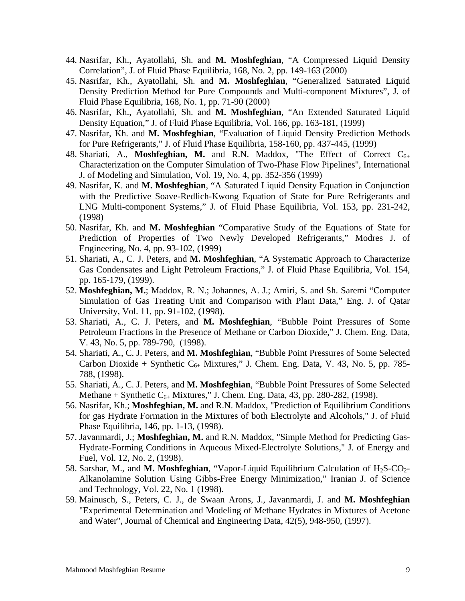- 44. Nasrifar, Kh., Ayatollahi, Sh. and **M. Moshfeghian**, "A Compressed Liquid Density Correlation", J. of Fluid Phase Equilibria, 168, No. 2, pp. 149-163 (2000)
- 45. Nasrifar, Kh., Ayatollahi, Sh. and **M. Moshfeghian**, "Generalized Saturated Liquid Density Prediction Method for Pure Compounds and Multi-component Mixtures", J. of Fluid Phase Equilibria, 168, No. 1, pp. 71-90 (2000)
- 46. Nasrifar, Kh., Ayatollahi, Sh. and **M. Moshfeghian**, "An Extended Saturated Liquid Density Equation," J. of Fluid Phase Equilibria, Vol. 166, pp. 163-181, (1999)
- 47. Nasrifar, Kh. and **M. Moshfeghian**, "Evaluation of Liquid Density Prediction Methods for Pure Refrigerants," J. of Fluid Phase Equilibria, 158-160, pp. 437-445, (1999)
- 48. Shariati, A., **Moshfeghian, M.** and R.N. Maddox, "The Effect of Correct  $C_{6+}$ Characterization on the Computer Simulation of Two-Phase Flow Pipelines", International J. of Modeling and Simulation, Vol. 19, No. 4, pp. 352-356 (1999)
- 49. Nasrifar, K. and **M. Moshfeghian**, "A Saturated Liquid Density Equation in Conjunction with the Predictive Soave-Redlich-Kwong Equation of State for Pure Refrigerants and LNG Multi-component Systems," J. of Fluid Phase Equilibria, Vol. 153, pp. 231-242, (1998)
- 50. Nasrifar, Kh. and **M. Moshfeghian** "Comparative Study of the Equations of State for Prediction of Properties of Two Newly Developed Refrigerants," Modres J. of Engineering, No. 4, pp. 93-102, (1999)
- 51. Shariati, A., C. J. Peters, and **M. Moshfeghian**, "A Systematic Approach to Characterize Gas Condensates and Light Petroleum Fractions," J. of Fluid Phase Equilibria, Vol. 154, pp. 165-179, (1999).
- 52. **Moshfeghian, M.**; Maddox, R. N.; Johannes, A. J.; Amiri, S. and Sh. Saremi "Computer Simulation of Gas Treating Unit and Comparison with Plant Data," Eng. J. of Qatar University, Vol. 11, pp. 91-102, (1998).
- 53. Shariati, A., C. J. Peters, and **M. Moshfeghian**, "Bubble Point Pressures of Some Petroleum Fractions in the Presence of Methane or Carbon Dioxide," J. Chem. Eng. Data, V. 43, No. 5, pp. 789-790, (1998).
- 54. Shariati, A., C. J. Peters, and **M. Moshfeghian**, "Bubble Point Pressures of Some Selected Carbon Dioxide + Synthetic  $C_{6+}$  Mixtures," J. Chem. Eng. Data, V. 43, No. 5, pp. 785-788, (1998).
- 55. Shariati, A., C. J. Peters, and **M. Moshfeghian**, "Bubble Point Pressures of Some Selected Methane + Synthetic  $C_{6+}$  Mixtures," J. Chem. Eng. Data, 43, pp. 280-282, (1998).
- 56. Nasrifar, Kh.; **Moshfeghian, M.** and R.N. Maddox, "Prediction of Equilibrium Conditions for gas Hydrate Formation in the Mixtures of both Electrolyte and Alcohols," J. of Fluid Phase Equilibria, 146, pp. 1-13, (1998).
- 57. Javanmardi, J.; **Moshfeghian, M.** and R.N. Maddox, "Simple Method for Predicting Gas-Hydrate-Forming Conditions in Aqueous Mixed-Electrolyte Solutions," J. of Energy and Fuel, Vol. 12, No. 2, (1998).
- 58. Sarshar, M., and M. Moshfeghian, "Vapor-Liquid Equilibrium Calculation of H<sub>2</sub>S-CO<sub>2</sub>-Alkanolamine Solution Using Gibbs-Free Energy Minimization," Iranian J. of Science and Technology, Vol. 22, No. 1 (1998).
- 59. Mainusch, S., Peters, C. J., de Swaan Arons, J., Javanmardi, J. and **M. Moshfeghian** "Experimental Determination and Modeling of Methane Hydrates in Mixtures of Acetone and Water", Journal of Chemical and Engineering Data, 42(5), 948-950, (1997).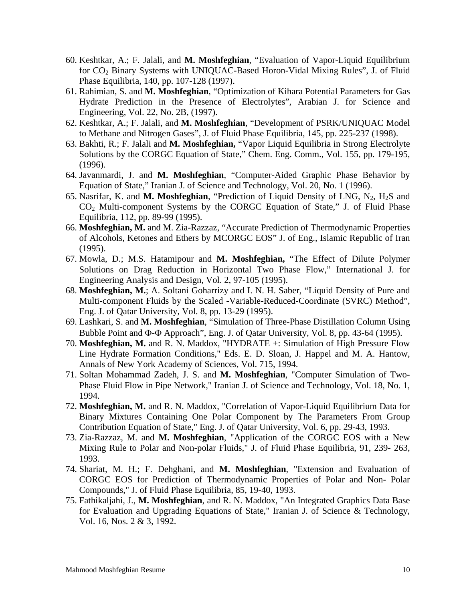- 60. Keshtkar, A.; F. Jalali, and **M. Moshfeghian**, "Evaluation of Vapor-Liquid Equilibrium for CO2 Binary Systems with UNIQUAC-Based Horon-Vidal Mixing Rules", J. of Fluid Phase Equilibria, 140, pp. 107-128 (1997).
- 61. Rahimian, S. and **M. Moshfeghian**, "Optimization of Kihara Potential Parameters for Gas Hydrate Prediction in the Presence of Electrolytes", Arabian J. for Science and Engineering, Vol. 22, No. 2B, (1997).
- 62. Keshtkar, A.; F. Jalali, and **M. Moshfeghian**, "Development of PSRK/UNIQUAC Model to Methane and Nitrogen Gases", J. of Fluid Phase Equilibria, 145, pp. 225-237 (1998).
- 63. Bakhti, R.; F. Jalali and **M. Moshfeghian,** "Vapor Liquid Equilibria in Strong Electrolyte Solutions by the CORGC Equation of State," Chem. Eng. Comm., Vol. 155, pp. 179-195, (1996).
- 64. Javanmardi, J. and **M. Moshfeghian**, "Computer-Aided Graphic Phase Behavior by Equation of State," Iranian J. of Science and Technology, Vol. 20, No. 1 (1996).
- 65. Nasrifar, K. and M. Moshfeghian, "Prediction of Liquid Density of LNG,  $N_2$ ,  $H_2S$  and  $CO<sub>2</sub>$  Multi-component Systems by the CORGC Equation of State," J. of Fluid Phase Equilibria, 112, pp. 89-99 (1995).
- 66. **Moshfeghian, M.** and M. Zia-Razzaz, "Accurate Prediction of Thermodynamic Properties of Alcohols, Ketones and Ethers by MCORGC EOS" J. of Eng., Islamic Republic of Iran (1995).
- 67. Mowla, D.; M.S. Hatamipour and **M. Moshfeghian,** "The Effect of Dilute Polymer Solutions on Drag Reduction in Horizontal Two Phase Flow," International J. for Engineering Analysis and Design, Vol. 2, 97-105 (1995).
- 68. **Moshfeghian, M.**; A. Soltani Goharrizy and I. N. H. Saber, "Liquid Density of Pure and Multi-component Fluids by the Scaled -Variable-Reduced-Coordinate (SVRC) Method", Eng. J. of Qatar University, Vol. 8, pp. 13-29 (1995).
- 69. Lashkari, S. and **M. Moshfeghian**, "Simulation of Three-Phase Distillation Column Using Bubble Point and  $\Phi$ - $\Phi$  Approach", Eng. J. of Qatar University, Vol. 8, pp. 43-64 (1995).
- 70. **Moshfeghian, M.** and R. N. Maddox, "HYDRATE +: Simulation of High Pressure Flow Line Hydrate Formation Conditions," Eds. E. D. Sloan, J. Happel and M. A. Hantow, Annals of New York Academy of Sciences, Vol. 715, 1994.
- 71. Soltan Mohammad Zadeh, J. S. and **M. Moshfeghian**, "Computer Simulation of Two-Phase Fluid Flow in Pipe Network," Iranian J. of Science and Technology, Vol. 18, No. 1, 1994.
- 72. **Moshfeghian, M.** and R. N. Maddox, "Correlation of Vapor-Liquid Equilibrium Data for Binary Mixtures Containing One Polar Component by The Parameters From Group Contribution Equation of State," Eng. J. of Qatar University, Vol. 6, pp. 29-43, 1993.
- 73. Zia-Razzaz, M. and **M. Moshfeghian**, "Application of the CORGC EOS with a New Mixing Rule to Polar and Non-polar Fluids," J. of Fluid Phase Equilibria, 91, 239- 263, 1993.
- 74. Shariat, M. H.; F. Dehghani, and **M. Moshfeghian**, "Extension and Evaluation of CORGC EOS for Prediction of Thermodynamic Properties of Polar and Non- Polar Compounds," J. of Fluid Phase Equilibria, 85, 19-40, 1993.
- 75. Fathikaljahi, J., **M. Moshfeghian**, and R. N. Maddox, "An Integrated Graphics Data Base for Evaluation and Upgrading Equations of State," Iranian J. of Science & Technology, Vol. 16, Nos. 2 & 3, 1992.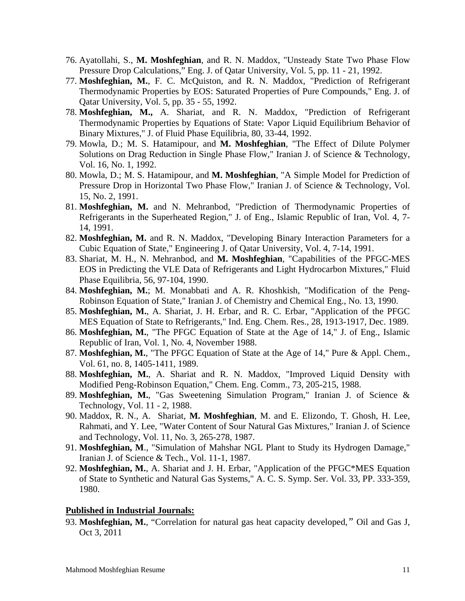- 76. Ayatollahi, S., **M. Moshfeghian**, and R. N. Maddox, "Unsteady State Two Phase Flow Pressure Drop Calculations," Eng. J. of Qatar University, Vol. 5, pp. 11 - 21, 1992.
- 77. **Moshfeghian, M.**, F. C. McQuiston, and R. N. Maddox, "Prediction of Refrigerant Thermodynamic Properties by EOS: Saturated Properties of Pure Compounds," Eng. J. of Qatar University, Vol. 5, pp. 35 - 55, 1992.
- 78. **Moshfeghian, M.,** A. Shariat, and R. N. Maddox, "Prediction of Refrigerant Thermodynamic Properties by Equations of State: Vapor Liquid Equilibrium Behavior of Binary Mixtures," J. of Fluid Phase Equilibria, 80, 33-44, 1992.
- 79. Mowla, D.; M. S. Hatamipour, and **M. Moshfeghian**, "The Effect of Dilute Polymer Solutions on Drag Reduction in Single Phase Flow," Iranian J. of Science & Technology, Vol. 16, No. 1, 1992.
- 80. Mowla, D.; M. S. Hatamipour, and **M. Moshfeghian**, "A Simple Model for Prediction of Pressure Drop in Horizontal Two Phase Flow," Iranian J. of Science & Technology, Vol. 15, No. 2, 1991.
- 81. **Moshfeghian, M.** and N. Mehranbod, "Prediction of Thermodynamic Properties of Refrigerants in the Superheated Region," J. of Eng., Islamic Republic of Iran, Vol. 4, 7- 14, 1991.
- 82. **Moshfeghian, M.** and R. N. Maddox, "Developing Binary Interaction Parameters for a Cubic Equation of State," Engineering J. of Qatar University, Vol. 4, 7-14, 1991.
- 83. Shariat, M. H., N. Mehranbod, and **M. Moshfeghian**, "Capabilities of the PFGC-MES EOS in Predicting the VLE Data of Refrigerants and Light Hydrocarbon Mixtures," Fluid Phase Equilibria, 56, 97-104, 1990.
- 84. **Moshfeghian, M.**; M. Monabbati and A. R. Khoshkish, "Modification of the Peng-Robinson Equation of State," Iranian J. of Chemistry and Chemical Eng., No. 13, 1990.
- 85. **Moshfeghian, M.**, A. Shariat, J. H. Erbar, and R. C. Erbar, "Application of the PFGC MES Equation of State to Refrigerants," Ind. Eng. Chem. Res., 28, 1913-1917, Dec. 1989.
- 86. **Moshfeghian, M.**, "The PFGC Equation of State at the Age of 14," J. of Eng., Islamic Republic of Iran, Vol. 1, No. 4, November 1988.
- 87. **Moshfeghian, M.**, "The PFGC Equation of State at the Age of 14," Pure & Appl. Chem., Vol. 61, no. 8, 1405-1411, 1989.
- 88. **Moshfeghian, M.**, A. Shariat and R. N. Maddox, "Improved Liquid Density with Modified Peng-Robinson Equation," Chem. Eng. Comm., 73, 205-215, 1988.
- 89. **Moshfeghian, M.**, "Gas Sweetening Simulation Program," Iranian J. of Science & Technology, Vol. 11 - 2, 1988.
- 90. Maddox, R. N., A. Shariat, **M. Moshfeghian**, M. and E. Elizondo, T. Ghosh, H. Lee, Rahmati, and Y. Lee, "Water Content of Sour Natural Gas Mixtures," Iranian J. of Science and Technology, Vol. 11, No. 3, 265-278, 1987.
- 91. **Moshfeghian, M**., "Simulation of Mahshar NGL Plant to Study its Hydrogen Damage," Iranian J. of Science & Tech., Vol. 11-1, 1987.
- 92. **Moshfeghian, M.**, A. Shariat and J. H. Erbar, "Application of the PFGC\*MES Equation of State to Synthetic and Natural Gas Systems," A. C. S. Symp. Ser. Vol. 33, PP. 333-359, 1980.

#### **Published in Industrial Journals:**

93. **Moshfeghian, M.**, "Correlation for natural gas heat capacity developed,*"* Oil and Gas J, Oct 3, 2011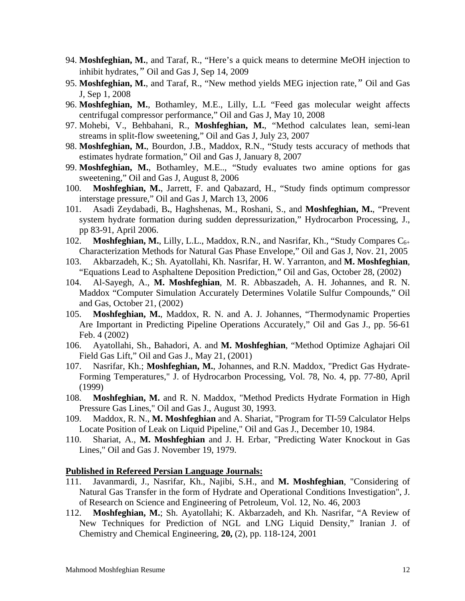- 94. **Moshfeghian, M.**, and Taraf, R., "Here's a quick means to determine MeOH injection to inhibit hydrates,*"* Oil and Gas J, Sep 14, 2009
- 95. **Moshfeghian, M.**, and Taraf, R., "New method yields MEG injection rate,*"* Oil and Gas J, Sep 1, 2008
- 96. **Moshfeghian, M.**, Bothamley, M.E., Lilly, L.L "Feed gas molecular weight affects centrifugal compressor performance," Oil and Gas J, May 10, 2008
- 97. Mohebi, V., Behbahani, R., **Moshfeghian, M.**, "Method calculates lean, semi-lean streams in split-flow sweetening," Oil and Gas J, July 23, 2007
- 98. **Moshfeghian, M.**, Bourdon, J.B., Maddox, R.N., "Study tests accuracy of methods that estimates hydrate formation," Oil and Gas J, January 8, 2007
- 99. **Moshfeghian, M.**, Bothamley, M.E.., "Study evaluates two amine options for gas sweetening," Oil and Gas J, August 8, 2006
- 100. **Moshfeghian, M.**, Jarrett, F. and Qabazard, H., "Study finds optimum compressor interstage pressure," Oil and Gas J, March 13, 2006
- 101. Asadi Zeydabadi, B**.**, Haghshenas, M., Roshani, S., and **Moshfeghian, M.**, "Prevent system hydrate formation during sudden depressurization," Hydrocarbon Processing, J., pp 83-91, April 2006.
- 102. **Moshfeghian, M.**, Lilly, L.L., Maddox, R.N., and Nasrifar, Kh., "Study Compares C<sub>6+</sub> Characterization Methods for Natural Gas Phase Envelope," Oil and Gas J, Nov. 21, 2005
- 103. Akbarzadeh, K.; Sh. Ayatollahi, Kh. Nasrifar, H. W. Yarranton, and **M. Moshfeghian**, "Equations Lead to Asphaltene Deposition Prediction," Oil and Gas, October 28, (2002)
- 104. Al-Sayegh, A., **M. Moshfeghian**, M. R. Abbaszadeh, A. H. Johannes, and R. N. Maddox "Computer Simulation Accurately Determines Volatile Sulfur Compounds," Oil and Gas, October 21, (2002)
- 105. **Moshfeghian, M.**, Maddox, R. N. and A. J. Johannes, "Thermodynamic Properties Are Important in Predicting Pipeline Operations Accurately," Oil and Gas J., pp. 56-61 Feb. 4 (2002)
- 106. Ayatollahi, Sh., Bahadori, A. and **M. Moshfeghian**, "Method Optimize Aghajari Oil Field Gas Lift," Oil and Gas J., May 21, (2001)
- 107. Nasrifar, Kh.; **Moshfeghian, M.**, Johannes, and R.N. Maddox, "Predict Gas Hydrate-Forming Temperatures," J. of Hydrocarbon Processing, Vol. 78, No. 4, pp. 77-80, April (1999)
- 108. **Moshfeghian, M.** and R. N. Maddox, "Method Predicts Hydrate Formation in High Pressure Gas Lines," Oil and Gas J., August 30, 1993.
- 109. Maddox, R. N., **M. Moshfeghian** and A. Shariat, "Program for TI-59 Calculator Helps Locate Position of Leak on Liquid Pipeline," Oil and Gas J., December 10, 1984.
- 110. Shariat, A., **M. Moshfeghian** and J. H. Erbar, "Predicting Water Knockout in Gas Lines," Oil and Gas J. November 19, 1979.

#### **Published in Refereed Persian Language Journals:**

- 111. Javanmardi, J., Nasrifar, Kh., Najibi, S.H., and **M. Moshfeghian**, "Considering of Natural Gas Transfer in the form of Hydrate and Operational Conditions Investigation", J. of Research on Science and Engineering of Petroleum, Vol. 12, No. 46, 2003
- 112. **Moshfeghian, M.**; Sh. Ayatollahi; K. Akbarzadeh, and Kh. Nasrifar, "A Review of New Techniques for Prediction of NGL and LNG Liquid Density," Iranian J. of Chemistry and Chemical Engineering, **20,** (2), pp. 118-124, 2001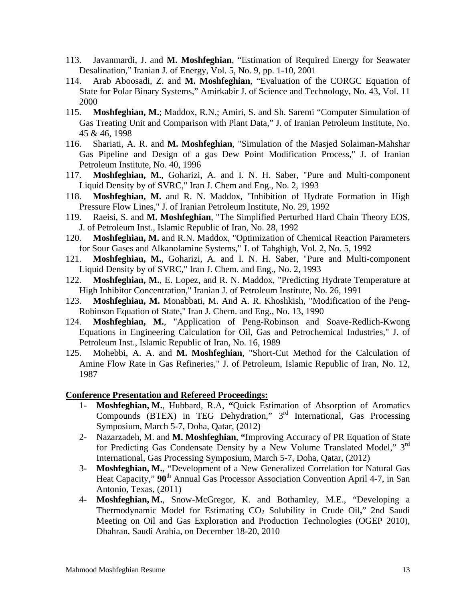- 113. Javanmardi, J. and **M. Moshfeghian**, "Estimation of Required Energy for Seawater Desalination," Iranian J. of Energy, Vol. 5, No. 9, pp. 1-10, 2001
- 114. Arab Aboosadi, Z. and **M. Moshfeghian**, "Evaluation of the CORGC Equation of State for Polar Binary Systems," Amirkabir J. of Science and Technology, No. 43, Vol. 11 2000
- 115. **Moshfeghian, M.**; Maddox, R.N.; Amiri, S. and Sh. Saremi "Computer Simulation of Gas Treating Unit and Comparison with Plant Data," J. of Iranian Petroleum Institute, No. 45 & 46, 1998
- 116. Shariati, A. R. and **M. Moshfeghian**, "Simulation of the Masjed Solaiman-Mahshar Gas Pipeline and Design of a gas Dew Point Modification Process," J. of Iranian Petroleum Institute, No. 40, 1996
- 117. **Moshfeghian, M.**, Goharizi, A. and I. N. H. Saber, "Pure and Multi-component Liquid Density by of SVRC," Iran J. Chem and Eng., No. 2, 1993
- 118. **Moshfeghian, M.** and R. N. Maddox, "Inhibition of Hydrate Formation in High Pressure Flow Lines," J. of Iranian Petroleum Institute, No. 29, 1992
- 119. Raeisi, S. and **M. Moshfeghian**, "The Simplified Perturbed Hard Chain Theory EOS, J. of Petroleum Inst., Islamic Republic of Iran, No. 28, 1992
- 120. **Moshfeghian, M.** and R.N. Maddox, "Optimization of Chemical Reaction Parameters for Sour Gases and Alkanolamine Systems," J. of Tahghigh, Vol. 2, No. 5, 1992
- 121. **Moshfeghian, M.**, Goharizi, A. and I. N. H. Saber, "Pure and Multi-component Liquid Density by of SVRC," Iran J. Chem. and Eng., No. 2, 1993
- 122. **Moshfeghian, M.**, E. Lopez, and R. N. Maddox, "Predicting Hydrate Temperature at High Inhibitor Concentration," Iranian J. of Petroleum Institute, No. 26, 1991
- 123. **Moshfeghian, M.** Monabbati, M. And A. R. Khoshkish, "Modification of the Peng-Robinson Equation of State," Iran J. Chem. and Eng., No. 13, 1990
- 124. **Moshfeghian, M.**, "Application of Peng-Robinson and Soave-Redlich-Kwong Equations in Engineering Calculation for Oil, Gas and Petrochemical Industries," J. of Petroleum Inst., Islamic Republic of Iran, No. 16, 1989
- 125. Mohebbi, A. A. and **M. Moshfeghian**, "Short-Cut Method for the Calculation of Amine Flow Rate in Gas Refineries," J. of Petroleum, Islamic Republic of Iran, No. 12, 1987

#### **Conference Presentation and Refereed Proceedings:**

- 1- **Moshfeghian, M.**, Hubbard, R.A, **"**Quick Estimation of Absorption of Aromatics Compounds (BTEX) in TEG Dehydration," 3rd International, Gas Processing Symposium, March 5-7, Doha, Qatar, (2012)
- 2- Nazarzadeh, M. and **M. Moshfeghian**, **"**Improving Accuracy of PR Equation of State for Predicting Gas Condensate Density by a New Volume Translated Model," 3rd International, Gas Processing Symposium, March 5-7, Doha, Qatar, (2012)
- 3- **Moshfeghian, M.**, "Development of a New Generalized Correlation for Natural Gas Heat Capacity,"  $90<sup>th</sup>$  Annual Gas Processor Association Convention April 4-7, in San Antonio, Texas, (2011)
- 4- **Moshfeghian, M.**, Snow-McGregor, K. and Bothamley, M.E., "Developing a Thermodynamic Model for Estimating CO2 Solubility in Crude Oil**,**" 2nd Saudi Meeting on Oil and Gas Exploration and Production Technologies (OGEP 2010), Dhahran, Saudi Arabia, on December 18-20, 2010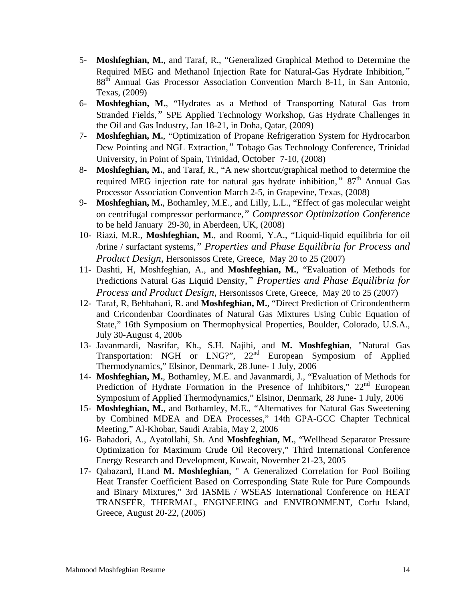- 5- **Moshfeghian, M.**, and Taraf, R., "Generalized Graphical Method to Determine the Required MEG and Methanol Injection Rate for Natural-Gas Hydrate Inhibition,*"*  88th Annual Gas Processor Association Convention March 8-11, in San Antonio, Texas, (2009)
- 6- **Moshfeghian, M.**, "Hydrates as a Method of Transporting Natural Gas from Stranded Fields,*"* SPE Applied Technology Workshop, Gas Hydrate Challenges in the Oil and Gas Industry, Jan 18-21, in Doha, Qatar, (2009)
- 7- **Moshfeghian, M.**, "Optimization of Propane Refrigeration System for Hydrocarbon Dew Pointing and NGL Extraction,*"* Tobago Gas Technology Conference, Trinidad University, in Point of Spain, Trinidad, October 7-10, (2008)
- 8- **Moshfeghian, M.**, and Taraf, R., "A new shortcut/graphical method to determine the required MEG injection rate for natural gas hydrate inhibition," 87<sup>th</sup> Annual Gas Processor Association Convention March 2-5, in Grapevine, Texas, (2008)
- 9- **Moshfeghian, M.**, Bothamley, M.E., and Lilly, L.L., "Effect of gas molecular weight on centrifugal compressor performance,*" Compressor Optimization Conference* to be held January 29-30, in Aberdeen, UK, (2008)
- 10- Riazi, M.R., **Moshfeghian, M.**, and Roomi, Y.A., "Liquid-liquid equilibria for oil /brine / surfactant systems,*" Properties and Phase Equilibria for Process and Product Design,* Hersonissos Crete, Greece, May 20 to 25 (2007)
- 11- Dashti, H, Moshfeghian, A., and **Moshfeghian, M.**, "Evaluation of Methods for Predictions Natural Gas Liquid Density*," Properties and Phase Equilibria for Process and Product Design,* Hersonissos Crete, Greece, May 20 to 25 (2007)
- 12- Taraf, R, Behbahani, R. and **Moshfeghian, M.**, "Direct Prediction of Cricondentherm and Cricondenbar Coordinates of Natural Gas Mixtures Using Cubic Equation of State," 16th Symposium on Thermophysical Properties, Boulder, Colorado, U.S.A., July 30-August 4, 2006
- 13- Javanmardi, Nasrifar, Kh., S.H. Najibi, and **M. Moshfeghian**, "Natural Gas Transportation: NGH or LNG?", 22<sup>nd</sup> European Symposium of Applied Thermodynamics," Elsinor, Denmark, 28 June- 1 July, 2006
- 14- **Moshfeghian, M.**, Bothamley, M.E. and Javanmardi, J., "Evaluation of Methods for Prediction of Hydrate Formation in the Presence of Inhibitors," 22<sup>nd</sup> European Symposium of Applied Thermodynamics," Elsinor, Denmark, 28 June- 1 July, 2006
- 15- **Moshfeghian, M.**, and Bothamley, M.E., "Alternatives for Natural Gas Sweetening by Combined MDEA and DEA Processes," 14th GPA-GCC Chapter Technical Meeting," Al-Khobar, Saudi Arabia, May 2, 2006
- 16- Bahadori, A., Ayatollahi, Sh. And **Moshfeghian, M.**, "Wellhead Separator Pressure Optimization for Maximum Crude Oil Recovery," Third International Conference Energy Research and Development, Kuwait, November 21-23, 2005
- 17- Qabazard, H.and **M. Moshfeghian**, " A Generalized Correlation for Pool Boiling Heat Transfer Coefficient Based on Corresponding State Rule for Pure Compounds and Binary Mixtures," 3rd IASME / WSEAS International Conference on HEAT TRANSFER, THERMAL, ENGINEEING and ENVIRONMENT, Corfu Island, Greece, August 20-22, (2005)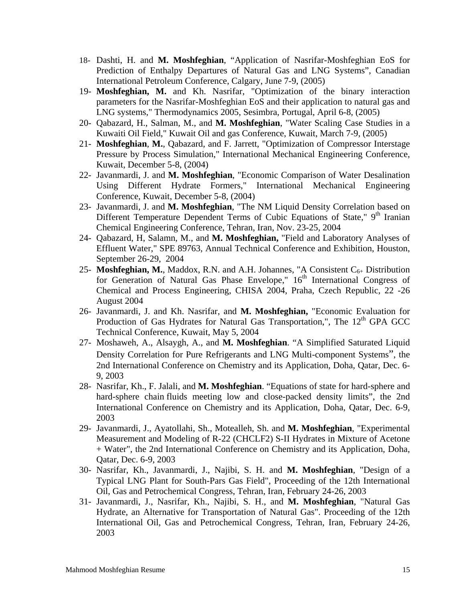- 18- Dashti, H. and **M. Moshfeghian**, "Application of Nasrifar-Moshfeghian EoS for Prediction of Enthalpy Departures of Natural Gas and LNG Systems", Canadian International Petroleum Conference, Calgary, June 7-9, (2005)
- 19- **Moshfeghian, M.** and Kh. Nasrifar, "Optimization of the binary interaction parameters for the Nasrifar-Moshfeghian EoS and their application to natural gas and LNG systems," Thermodynamics 2005, Sesimbra, Portugal, April 6-8, (2005)
- 20- Qabazard, H., Salman, M., and **M. Moshfeghian**, "Water Scaling Case Studies in a Kuwaiti Oil Field," Kuwait Oil and gas Conference, Kuwait, March 7-9, (2005)
- 21- **Moshfeghian**, **M.**, Qabazard, and F. Jarrett, "Optimization of Compressor Interstage Pressure by Process Simulation," International Mechanical Engineering Conference, Kuwait, December 5-8, (2004)
- 22- Javanmardi, J. and **M. Moshfeghian**, "Economic Comparison of Water Desalination Using Different Hydrate Formers," International Mechanical Engineering Conference, Kuwait, December 5-8, (2004)
- 23- Javanmardi, J. and **M. Moshfeghian**, "The NM Liquid Density Correlation based on Different Temperature Dependent Terms of Cubic Equations of State," 9<sup>th</sup> Iranian Chemical Engineering Conference, Tehran, Iran, Nov. 23-25, 2004
- 24- Qabazard, H, Salamn, M., and **M. Moshfeghian,** "Field and Laboratory Analyses of Effluent Water," SPE 89763, Annual Technical Conference and Exhibition, Houston, September 26-29, 2004
- 25- **Moshfeghian, M.**, Maddox, R.N. and A.H. Johannes, "A Consistent  $C_{6+}$  Distribution for Generation of Natural Gas Phase Envelope,"  $16<sup>th</sup>$  International Congress of Chemical and Process Engineering, CHISA 2004, Praha, Czech Republic, 22 -26 August 2004
- 26- Javanmardi, J. and Kh. Nasrifar, and **M. Moshfeghian,** "Economic Evaluation for Production of Gas Hydrates for Natural Gas Transportation,", The  $12<sup>th</sup>$  GPA GCC Technical Conference, Kuwait, May 5, 2004
- 27- Moshaweh, A., Alsaygh, A., and **M. Moshfeghian**. "A Simplified Saturated Liquid Density Correlation for Pure Refrigerants and LNG Multi-component Systems", the 2nd International Conference on Chemistry and its Application, Doha, Qatar, Dec. 6- 9, 2003
- 28- Nasrifar, Kh., F. Jalali, and **M. Moshfeghian**. "Equations of state for hard-sphere and hard-sphere chain fluids meeting low and close-packed density limits", the 2nd International Conference on Chemistry and its Application, Doha, Qatar, Dec. 6-9, 2003
- 29- Javanmardi, J., Ayatollahi, Sh., Motealleh, Sh. and **M. Moshfeghian**, "Experimental Measurement and Modeling of R-22 (CHCLF2) S-II Hydrates in Mixture of Acetone + Water", the 2nd International Conference on Chemistry and its Application, Doha, Qatar, Dec. 6-9, 2003
- 30- Nasrifar, Kh., Javanmardi, J., Najibi, S. H. and **M. Moshfeghian**, "Design of a Typical LNG Plant for South-Pars Gas Field", Proceeding of the 12th International Oil, Gas and Petrochemical Congress, Tehran, Iran, February 24-26, 2003
- 31- Javanmardi, J., Nasrifar, Kh., Najibi, S. H., and **M. Moshfeghian**, "Natural Gas Hydrate, an Alternative for Transportation of Natural Gas". Proceeding of the 12th International Oil, Gas and Petrochemical Congress, Tehran, Iran, February 24-26, 2003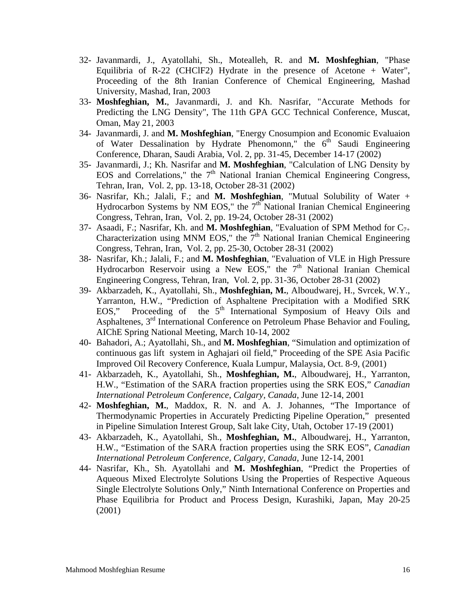- 32- Javanmardi, J., Ayatollahi, Sh., Motealleh, R. and **M. Moshfeghian**, "Phase Equilibria of R-22 (CHClF2) Hydrate in the presence of Acetone + Water", Proceeding of the 8th Iranian Conference of Chemical Engineering, Mashad University, Mashad, Iran, 2003
- 33- **Moshfeghian, M.**, Javanmardi, J. and Kh. Nasrifar, "Accurate Methods for Predicting the LNG Density", The 11th GPA GCC Technical Conference, Muscat, Oman, May 21, 2003
- 34- Javanmardi, J. and **M. Moshfeghian**, "Energy Cnosumpion and Economic Evaluaion of Water Dessalination by Hydrate Phenomonn," the  $6<sup>th</sup>$  Saudi Engineering Conference, Dharan, Saudi Arabia, Vol. 2, pp. 31-45, December 14-17 (2002)
- 35- Javanmardi, J.; Kh. Nasrifar and **M. Moshfeghian**, "Calculation of LNG Density by EOS and Correlations," the  $7<sup>th</sup>$  National Iranian Chemical Engineering Congress, Tehran, Iran, Vol. 2, pp. 13-18, October 28-31 (2002)
- 36- Nasrifar, Kh.; Jalali, F.; and **M. Moshfeghian**, "Mutual Solubility of Water + Hydrocarbon Systems by NM EOS," the  $7<sup>th</sup>$  National Iranian Chemical Engineering Congress, Tehran, Iran, Vol. 2, pp. 19-24, October 28-31 (2002)
- 37- Asaadi, F.; Nasrifar, Kh. and **M. Moshfeghian**, "Evaluation of SPM Method for C7+ Characterization using MNM EOS," the  $7<sup>th</sup>$  National Iranian Chemical Engineering Congress, Tehran, Iran, Vol. 2, pp. 25-30, October 28-31 (2002)
- 38- Nasrifar, Kh.; Jalali, F.; and **M. Moshfeghian**, "Evaluation of VLE in High Pressure Hydrocarbon Reservoir using a New EOS," the  $7<sup>th</sup>$  National Iranian Chemical Engineering Congress, Tehran, Iran, Vol. 2, pp. 31-36, October 28-31 (2002)
- 39- Akbarzadeh, K., Ayatollahi, Sh., **Moshfeghian, M.**, Alboudwarej, H., Svrcek, W.Y., Yarranton, H.W., "Prediction of Asphaltene Precipitation with a Modified SRK EOS," Proceeding of the  $5<sup>th</sup>$  International Symposium of Heavy Oils and Asphaltenes, 3<sup>rd</sup> International Conference on Petroleum Phase Behavior and Fouling, AIChE Spring National Meeting, March 10-14, 2002
- 40- Bahadori, A.; Ayatollahi, Sh., and **M. Moshfeghian**, "Simulation and optimization of continuous gas lift system in Aghajari oil field," Proceeding of the SPE Asia Pacific Improved Oil Recovery Conference, Kuala Lumpur, Malaysia, Oct. 8-9, (2001)
- 41- Akbarzadeh, K., Ayatollahi, Sh., **Moshfeghian, M.**, Alboudwarej, H., Yarranton, H.W., "Estimation of the SARA fraction properties using the SRK EOS," *Canadian International Petroleum Conference*, *Calgary, Canada*, June 12-14, 2001
- 42- **Moshfeghian, M.**, Maddox, R. N. and A. J. Johannes, "The Importance of Thermodynamic Properties in Accurately Predicting Pipeline Operation," presented in Pipeline Simulation Interest Group, Salt lake City, Utah, October 17-19 (2001)
- 43- Akbarzadeh, K., Ayatollahi, Sh., **Moshfeghian, M.**, Alboudwarej, H., Yarranton, H.W., "Estimation of the SARA fraction properties using the SRK EOS", *Canadian International Petroleum Conference*, *Calgary, Canada*, June 12-14, 2001
- 44- Nasrifar, Kh., Sh. Ayatollahi and **M. Moshfeghian**, "Predict the Properties of Aqueous Mixed Electrolyte Solutions Using the Properties of Respective Aqueous Single Electrolyte Solutions Only," Ninth International Conference on Properties and Phase Equilibria for Product and Process Design, Kurashiki, Japan, May 20-25 (2001)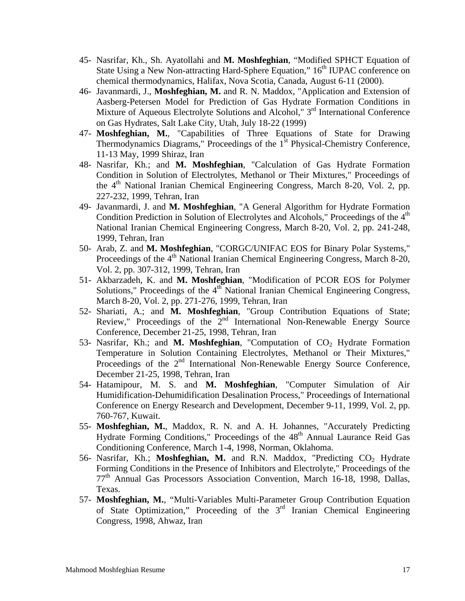- 45- Nasrifar, Kh., Sh. Ayatollahi and **M. Moshfeghian**, "Modified SPHCT Equation of State Using a New Non-attracting Hard-Sphere Equation," 16<sup>th</sup> IUPAC conference on chemical thermodynamics, Halifax, Nova Scotia, Canada, August 6-11 (2000).
- 46- Javanmardi, J., **Moshfeghian, M.** and R. N. Maddox, "Application and Extension of Aasberg-Petersen Model for Prediction of Gas Hydrate Formation Conditions in Mixture of Aqueous Electrolyte Solutions and Alcohol," 3<sup>rd</sup> International Conference on Gas Hydrates, Salt Lake City, Utah, July 18-22 (1999)
- 47- **Moshfeghian, M.**, "Capabilities of Three Equations of State for Drawing Thermodynamics Diagrams," Proceedings of the 1<sup>st</sup> Physical-Chemistry Conference, 11-13 May, 1999 Shiraz, Iran
- 48- Nasrifar, Kh.; and **M. Moshfeghian**, "Calculation of Gas Hydrate Formation Condition in Solution of Electrolytes, Methanol or Their Mixtures," Proceedings of the  $4<sup>th</sup>$  National Iranian Chemical Engineering Congress, March 8-20, Vol. 2, pp. 227-232, 1999, Tehran, Iran
- 49- Javanmardi, J. and **M. Moshfeghian**, "A General Algorithm for Hydrate Formation Condition Prediction in Solution of Electrolytes and Alcohols," Proceedings of the  $4<sup>th</sup>$ National Iranian Chemical Engineering Congress, March 8-20, Vol. 2, pp. 241-248, 1999, Tehran, Iran
- 50- Arab, Z. and **M. Moshfeghian**, "CORGC/UNIFAC EOS for Binary Polar Systems," Proceedings of the  $4<sup>th</sup>$  National Iranian Chemical Engineering Congress, March 8-20, Vol. 2, pp. 307-312, 1999, Tehran, Iran
- 51- Akbarzadeh, K. and **M. Moshfeghian**, "Modification of PCOR EOS for Polymer Solutions," Proceedings of the 4<sup>th</sup> National Iranian Chemical Engineering Congress, March 8-20, Vol. 2, pp. 271-276, 1999, Tehran, Iran
- 52- Shariati, A.; and **M. Moshfeghian**, "Group Contribution Equations of State; Review," Proceedings of the 2<sup>nd</sup> International Non-Renewable Energy Source Conference, December 21-25, 1998, Tehran, Iran
- 53- Nasrifar, Kh.; and M. Moshfeghian, "Computation of CO<sub>2</sub> Hydrate Formation Temperature in Solution Containing Electrolytes, Methanol or Their Mixtures," Proceedings of the  $2<sup>nd</sup>$  International Non-Renewable Energy Source Conference, December 21-25, 1998, Tehran, Iran
- 54- Hatamipour, M. S. and **M. Moshfeghian**, "Computer Simulation of Air Humidification-Dehumidification Desalination Process," Proceedings of International Conference on Energy Research and Development, December 9-11, 1999, Vol. 2, pp. 760-767, Kuwait.
- 55- **Moshfeghian, M.**, Maddox, R. N. and A. H. Johannes, "Accurately Predicting Hydrate Forming Conditions," Proceedings of the 48<sup>th</sup> Annual Laurance Reid Gas Conditioning Conference, March 1-4, 1998, Norman, Oklahoma.
- 56- Nasrifar, Kh.; Moshfeghian, M. and R.N. Maddox, "Predicting CO<sub>2</sub> Hydrate Forming Conditions in the Presence of Inhibitors and Electrolyte," Proceedings of the 77th Annual Gas Processors Association Convention, March 16-18, 1998, Dallas, Texas.
- 57- **Moshfeghian, M.**, "Multi-Variables Multi-Parameter Group Contribution Equation of State Optimization," Proceeding of the 3<sup>rd</sup> Iranian Chemical Engineering Congress, 1998, Ahwaz, Iran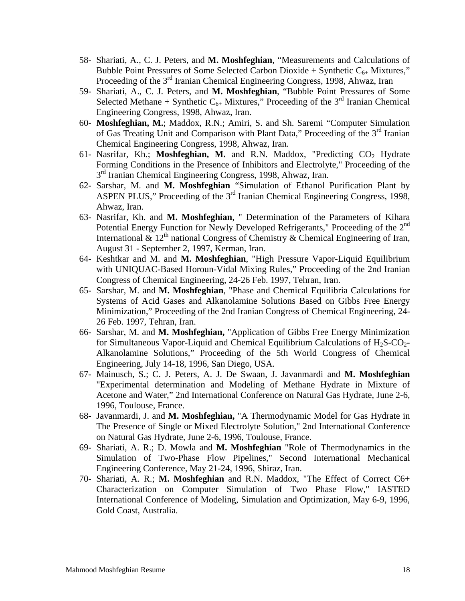- 58- Shariati, A., C. J. Peters, and **M. Moshfeghian**, "Measurements and Calculations of Bubble Point Pressures of Some Selected Carbon Dioxide + Synthetic  $C_{6+}$  Mixtures," Proceeding of the 3<sup>rd</sup> Iranian Chemical Engineering Congress, 1998, Ahwaz, Iran
- 59- Shariati, A., C. J. Peters, and **M. Moshfeghian**, "Bubble Point Pressures of Some Selected Methane + Synthetic  $C_{6+}$  Mixtures," Proceeding of the 3<sup>rd</sup> Iranian Chemical Engineering Congress, 1998, Ahwaz, Iran.
- 60- **Moshfeghian, M.**; Maddox, R.N.; Amiri, S. and Sh. Saremi "Computer Simulation of Gas Treating Unit and Comparison with Plant Data," Proceeding of the  $3<sup>rd</sup>$  Iranian Chemical Engineering Congress, 1998, Ahwaz, Iran.
- 61- Nasrifar, Kh.; Moshfeghian, M. and R.N. Maddox, "Predicting CO<sub>2</sub> Hydrate Forming Conditions in the Presence of Inhibitors and Electrolyte," Proceeding of the 3<sup>rd</sup> Iranian Chemical Engineering Congress, 1998, Ahwaz, Iran.
- 62- Sarshar, M. and **M. Moshfeghian** "Simulation of Ethanol Purification Plant by ASPEN PLUS," Proceeding of the 3<sup>rd</sup> Iranian Chemical Engineering Congress, 1998, Ahwaz, Iran.
- 63- Nasrifar, Kh. and **M. Moshfeghian**, " Determination of the Parameters of Kihara Potential Energy Function for Newly Developed Refrigerants," Proceeding of the 2<sup>nd</sup> International &  $12<sup>th</sup>$  national Congress of Chemistry & Chemical Engineering of Iran, August 31 - September 2, 1997, Kerman, Iran.
- 64- Keshtkar and M. and **M. Moshfeghian**, "High Pressure Vapor-Liquid Equilibrium with UNIQUAC-Based Horoun-Vidal Mixing Rules," Proceeding of the 2nd Iranian Congress of Chemical Engineering, 24-26 Feb. 1997, Tehran, Iran.
- 65- Sarshar, M. and **M. Moshfeghian**, "Phase and Chemical Equilibria Calculations for Systems of Acid Gases and Alkanolamine Solutions Based on Gibbs Free Energy Minimization," Proceeding of the 2nd Iranian Congress of Chemical Engineering, 24- 26 Feb. 1997, Tehran, Iran.
- 66- Sarshar, M. and **M. Moshfeghian,** "Application of Gibbs Free Energy Minimization for Simultaneous Vapor-Liquid and Chemical Equilibrium Calculations of  $H_2S-CO_2$ -Alkanolamine Solutions," Proceeding of the 5th World Congress of Chemical Engineering, July 14-18, 1996, San Diego, USA.
- 67- Mainusch, S.; C. J. Peters, A. J. De Swaan, J. Javanmardi and **M. Moshfeghian** "Experimental determination and Modeling of Methane Hydrate in Mixture of Acetone and Water," 2nd International Conference on Natural Gas Hydrate, June 2-6, 1996, Toulouse, France.
- 68- Javanmardi, J. and **M. Moshfeghian,** "A Thermodynamic Model for Gas Hydrate in The Presence of Single or Mixed Electrolyte Solution," 2nd International Conference on Natural Gas Hydrate, June 2-6, 1996, Toulouse, France.
- 69- Shariati, A. R.; D. Mowla and **M. Moshfeghian** "Role of Thermodynamics in the Simulation of Two-Phase Flow Pipelines," Second International Mechanical Engineering Conference, May 21-24, 1996, Shiraz, Iran.
- 70- Shariati, A. R.; **M. Moshfeghian** and R.N. Maddox, "The Effect of Correct C6+ Characterization on Computer Simulation of Two Phase Flow," IASTED International Conference of Modeling, Simulation and Optimization, May 6-9, 1996, Gold Coast, Australia.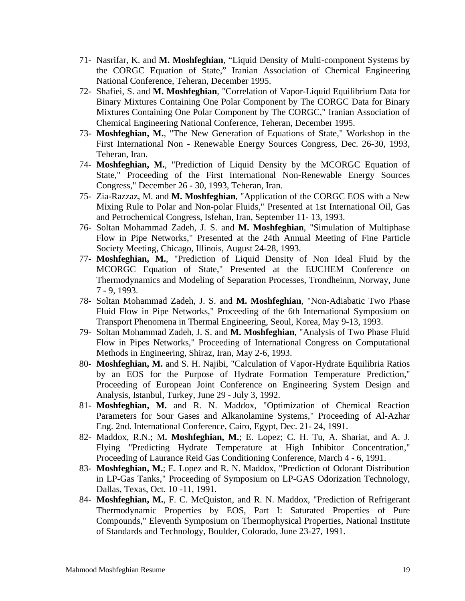- 71- Nasrifar, K. and **M. Moshfeghian**, "Liquid Density of Multi-component Systems by the CORGC Equation of State," Iranian Association of Chemical Engineering National Conference, Teheran, December 1995.
- 72- Shafiei, S. and **M. Moshfeghian**, "Correlation of Vapor-Liquid Equilibrium Data for Binary Mixtures Containing One Polar Component by The CORGC Data for Binary Mixtures Containing One Polar Component by The CORGC," Iranian Association of Chemical Engineering National Conference, Teheran, December 1995.
- 73- **Moshfeghian, M.**, "The New Generation of Equations of State," Workshop in the First International Non - Renewable Energy Sources Congress, Dec. 26-30, 1993, Teheran, Iran.
- 74- **Moshfeghian, M.**, "Prediction of Liquid Density by the MCORGC Equation of State," Proceeding of the First International Non-Renewable Energy Sources Congress," December 26 - 30, 1993, Teheran, Iran.
- 75- Zia-Razzaz, M. and **M. Moshfeghian**, "Application of the CORGC EOS with a New Mixing Rule to Polar and Non-polar Fluids," Presented at 1st International Oil, Gas and Petrochemical Congress, Isfehan, Iran, September 11- 13, 1993.
- 76- Soltan Mohammad Zadeh, J. S. and **M. Moshfeghian**, "Simulation of Multiphase Flow in Pipe Networks," Presented at the 24th Annual Meeting of Fine Particle Society Meeting, Chicago, Illinois, August 24-28, 1993.
- 77- **Moshfeghian, M.**, "Prediction of Liquid Density of Non Ideal Fluid by the MCORGC Equation of State," Presented at the EUCHEM Conference on Thermodynamics and Modeling of Separation Processes, Trondheinm, Norway, June 7 - 9, 1993.
- 78- Soltan Mohammad Zadeh, J. S. and **M. Moshfeghian**, "Non-Adiabatic Two Phase Fluid Flow in Pipe Networks," Proceeding of the 6th International Symposium on Transport Phenomena in Thermal Engineering, Seoul, Korea, May 9-13, 1993.
- 79- Soltan Mohammad Zadeh, J. S. and **M. Moshfeghian**, "Analysis of Two Phase Fluid Flow in Pipes Networks," Proceeding of International Congress on Computational Methods in Engineering, Shiraz, Iran, May 2-6, 1993.
- 80- **Moshfeghian, M.** and S. H. Najibi, "Calculation of Vapor-Hydrate Equilibria Ratios by an EOS for the Purpose of Hydrate Formation Temperature Prediction," Proceeding of European Joint Conference on Engineering System Design and Analysis, Istanbul, Turkey, June 29 - July 3, 1992.
- 81- **Moshfeghian, M.** and R. N. Maddox, "Optimization of Chemical Reaction Parameters for Sour Gases and Alkanolamine Systems," Proceeding of Al-Azhar Eng. 2nd. International Conference, Cairo, Egypt, Dec. 21- 24, 1991.
- 82- Maddox, R.N.; M**. Moshfeghian, M.**; E. Lopez; C. H. Tu, A. Shariat, and A. J. Flying "Predicting Hydrate Temperature at High Inhibitor Concentration," Proceeding of Laurance Reid Gas Conditioning Conference, March 4 - 6, 1991.
- 83- **Moshfeghian, M.**; E. Lopez and R. N. Maddox, "Prediction of Odorant Distribution in LP-Gas Tanks," Proceeding of Symposium on LP-GAS Odorization Technology, Dallas, Texas, Oct. 10 -11, 1991.
- 84- **Moshfeghian, M.**, F. C. McQuiston, and R. N. Maddox, "Prediction of Refrigerant Thermodynamic Properties by EOS, Part I: Saturated Properties of Pure Compounds," Eleventh Symposium on Thermophysical Properties, National Institute of Standards and Technology, Boulder, Colorado, June 23-27, 1991.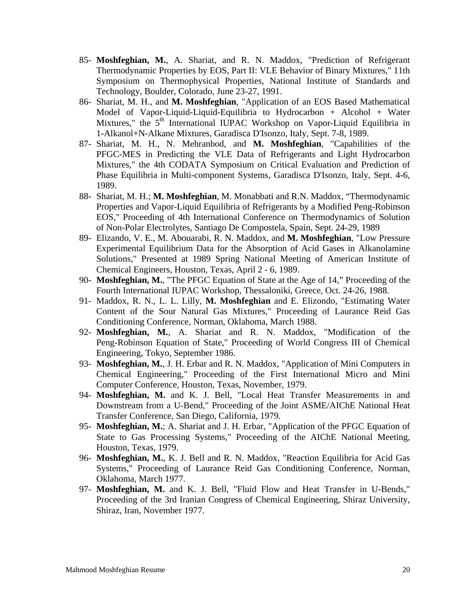- 85- **Moshfeghian, M.**, A. Shariat, and R. N. Maddox, "Prediction of Refrigerant Thermodynamic Properties by EOS, Part II: VLE Behavior of Binary Mixtures," 11th Symposium on Thermophysical Properties, National Institute of Standards and Technology, Boulder, Colorado, June 23-27, 1991.
- 86- Shariat, M. H., and **M. Moshfeghian**, "Application of an EOS Based Mathematical Model of Vapor-Liquid-Liquid-Equilibria to Hydrocarbon + Alcohol + Water Mixtures," the 5<sup>th</sup> International IUPAC Workshop on Vapor-Liquid Equilibria in 1-Alkanol+N-Alkane Mixtures, Garadisca D'Isonzo, Italy, Sept. 7-8, 1989.
- 87- Shariat, M. H., N. Mehranbod, and **M. Moshfeghian**, "Capabilities of the PFGC-MES in Predicting the VLE Data of Refrigerants and Light Hydrocarbon Mixtures," the 4th CODATA Symposium on Critical Evaluation and Prediction of Phase Equilibria in Multi-component Systems, Garadisca D'Isonzo, Italy, Sept. 4-6, 1989.
- 88- Shariat, M. H.; **M. Moshfeghian**, M. Monabbati and R.N. Maddox, "Thermodynamic Properties and Vapor-Liquid Equilibria of Refrigerants by a Modified Peng-Robinson EOS," Proceeding of 4th International Conference on Thermodynamics of Solution of Non-Polar Electrolytes, Santiago De Compostela, Spain, Sept. 24-29, 1989
- 89- Elizando, V. E., M. Abouarabi, R. N. Maddox, and **M. Moshfeghian**, "Low Pressure Experimental Equilibrium Data for the Absorption of Acid Gases in Alkanolamine Solutions," Presented at 1989 Spring National Meeting of American Institute of Chemical Engineers, Houston, Texas, April 2 - 6, 1989.
- 90- **Moshfeghian, M.**, "The PFGC Equation of State at the Age of 14," Proceeding of the Fourth International IUPAC Workshop, Thessaloniki, Greece, Oct. 24-26, 1988.
- 91- Maddox, R. N., L. L. Lilly, **M. Moshfeghian** and E. Elizondo, "Estimating Water Content of the Sour Natural Gas Mixtures," Proceeding of Laurance Reid Gas Conditioning Conference, Norman, Oklahoma, March 1988.
- 92- **Moshfeghian, M.**, A. Shariat and R. N. Maddox, "Modification of the Peng-Robinson Equation of State," Proceeding of World Congress III of Chemical Engineering, Tokyo, September 1986.
- 93- **Moshfeghian, M.**, J. H. Erbar and R. N. Maddox, "Application of Mini Computers in Chemical Engineering," Proceeding of the First International Micro and Mini Computer Conference, Houston, Texas, November, 1979.
- 94- **Moshfeghian, M.** and K. J. Bell, "Local Heat Transfer Measurements in and Downstream from a U-Bend," Proceeding of the Joint ASME/AIChE National Heat Transfer Conference, San Diego, California, 1979.
- 95- **Moshfeghian, M.**; A. Shariat and J. H. Erbar, "Application of the PFGC Equation of State to Gas Processing Systems," Proceeding of the AIChE National Meeting, Houston, Texas, 1979.
- 96- **Moshfeghian, M.**, K. J. Bell and R. N. Maddox, "Reaction Equilibria for Acid Gas Systems," Proceeding of Laurance Reid Gas Conditioning Conference, Norman, Oklahoma, March 1977.
- 97- **Moshfeghian, M.** and K. J. Bell, "Fluid Flow and Heat Transfer in U-Bends," Proceeding of the 3rd Iranian Congress of Chemical Engineering, Shiraz University, Shiraz, Iran, November 1977.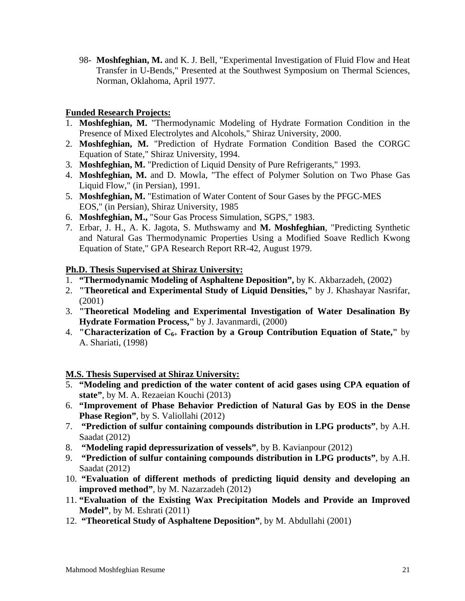98- **Moshfeghian, M.** and K. J. Bell, "Experimental Investigation of Fluid Flow and Heat Transfer in U-Bends," Presented at the Southwest Symposium on Thermal Sciences, Norman, Oklahoma, April 1977.

### **Funded Research Projects:**

- 1. **Moshfeghian, M.** "Thermodynamic Modeling of Hydrate Formation Condition in the Presence of Mixed Electrolytes and Alcohols," Shiraz University, 2000.
- 2. **Moshfeghian, M.** "Prediction of Hydrate Formation Condition Based the CORGC Equation of State," Shiraz University, 1994.
- 3. **Moshfeghian, M.** "Prediction of Liquid Density of Pure Refrigerants," 1993.
- 4. **Moshfeghian, M.** and D. Mowla, "The effect of Polymer Solution on Two Phase Gas Liquid Flow," (in Persian), 1991.
- 5. **Moshfeghian, M.** "Estimation of Water Content of Sour Gases by the PFGC-MES EOS," (in Persian), Shiraz University, 1985
- 6. **Moshfeghian, M.,** "Sour Gas Process Simulation, SGPS," 1983.
- 7. Erbar, J. H., A. K. Jagota, S. Muthswamy and **M. Moshfeghian**, "Predicting Synthetic and Natural Gas Thermodynamic Properties Using a Modified Soave Redlich Kwong Equation of State," GPA Research Report RR-42, August 1979.

#### **Ph.D. Thesis Supervised at Shiraz University:**

- 1. **"Thermodynamic Modeling of Asphaltene Deposition",** by K. Akbarzadeh, (2002)
- 2. **"Theoretical and Experimental Study of Liquid Densities,"** by J. Khashayar Nasrifar, (2001)
- 3. **"Theoretical Modeling and Experimental Investigation of Water Desalination By Hydrate Formation Process,"** by J. Javanmardi, (2000)
- 4. **"Characterization of C6+ Fraction by a Group Contribution Equation of State,"** by A. Shariati, (1998)

#### **M.S. Thesis Supervised at Shiraz University:**

- 5. **"Modeling and prediction of the water content of acid gases using CPA equation of state"**, by M. A. Rezaeian Kouchi (2013)
- 6. **"Improvement of Phase Behavior Prediction of Natural Gas by EOS in the Dense Phase Region"**, by S. Valiollahi (2012)
- 7. **"Prediction of sulfur containing compounds distribution in LPG products"**, by A.H. Saadat (2012)
- 8. **"Modeling rapid depressurization of vessels"**, by B. Kavianpour (2012)
- 9. **"Prediction of sulfur containing compounds distribution in LPG products"**, by A.H. Saadat (2012)
- 10. **"Evaluation of different methods of predicting liquid density and developing an improved method"**, by M. Nazarzadeh (2012)
- 11. **"Evaluation of the Existing Wax Precipitation Models and Provide an Improved Model"**, by M. Eshrati (2011)
- 12. **"Theoretical Study of Asphaltene Deposition"**, by M. Abdullahi (2001)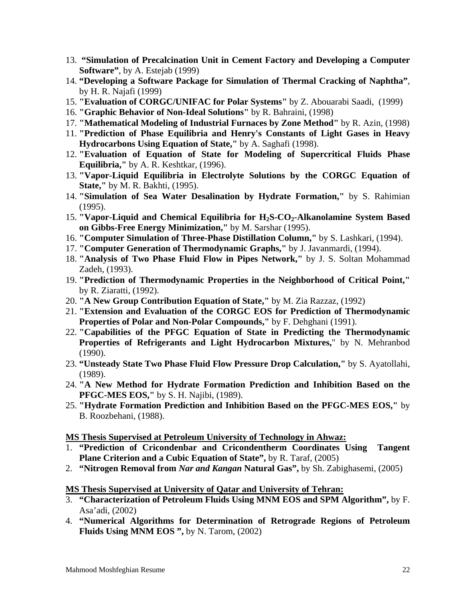- 13. **"Simulation of Precalcination Unit in Cement Factory and Developing a Computer Software"**, by A. Estejab (1999)
- 14. **"Developing a Software Package for Simulation of Thermal Cracking of Naphtha"**, by H. R. Najafi (1999)
- 15. **"Evaluation of CORGC/UNIFAC for Polar Systems"** by Z. Abouarabi Saadi, (1999)
- 16. **"Graphic Behavior of Non-Ideal Solutions"** by R. Bahraini, (1998)
- 17. **"Mathematical Modeling of Industrial Furnaces by Zone Method"** by R. Azin, (1998)
- 11. **"Prediction of Phase Equilibria and Henry's Constants of Light Gases in Heavy Hydrocarbons Using Equation of State,"** by A. Saghafi (1998).
- 12. **"Evaluation of Equation of State for Modeling of Supercritical Fluids Phase Equilibria,"** by A. R. Keshtkar, (1996).
- 13. **"Vapor-Liquid Equilibria in Electrolyte Solutions by the CORGC Equation of State,"** by M. R. Bakhti, (1995).
- 14. **"Simulation of Sea Water Desalination by Hydrate Formation,"** by S. Rahimian (1995).
- 15. **"Vapor-Liquid and Chemical Equilibria for H2S-CO2-Alkanolamine System Based on Gibbs-Free Energy Minimization,"** by M. Sarshar (1995).
- 16. **"Computer Simulation of Three-Phase Distillation Column,"** by S. Lashkari, (1994).
- 17. **"Computer Generation of Thermodynamic Graphs,"** by J. Javanmardi, (1994).
- 18. **"Analysis of Two Phase Fluid Flow in Pipes Network,"** by J. S. Soltan Mohammad Zadeh, (1993).
- 19. **"Prediction of Thermodynamic Properties in the Neighborhood of Critical Point,"** by R. Ziaratti, (1992).
- 20. **"A New Group Contribution Equation of State,"** by M. Zia Razzaz, (1992)
- 21. **"Extension and Evaluation of the CORGC EOS for Prediction of Thermodynamic Properties of Polar and Non-Polar Compounds,"** by F. Dehghani (1991).
- 22. **"Capabilities of the PFGC Equation of State in Predicting the Thermodynamic Properties of Refrigerants and Light Hydrocarbon Mixtures,**" by N. Mehranbod (1990).
- 23. **"Unsteady State Two Phase Fluid Flow Pressure Drop Calculation,"** by S. Ayatollahi, (1989).
- 24. **"A New Method for Hydrate Formation Prediction and Inhibition Based on the PFGC-MES EOS,"** by S. H. Najibi, (1989).
- 25. **"Hydrate Formation Prediction and Inhibition Based on the PFGC-MES EOS,"** by B. Roozbehani, (1988).

**MS Thesis Supervised at Petroleum University of Technology in Ahwaz:** 

- 1. **"Prediction of Cricondenbar and Cricondentherm Coordinates Using Tangent Plane Criterion and a Cubic Equation of State",** by R. Taraf, (2005)
- 2. **"Nitrogen Removal from** *Nar and Kangan* **Natural Gas",** by Sh. Zabighasemi, (2005)

#### **MS Thesis Supervised at University of Qatar and University of Tehran:**

- 3. **"Characterization of Petroleum Fluids Using MNM EOS and SPM Algorithm",** by F. Asa'adi, (2002)
- 4. **"Numerical Algorithms for Determination of Retrograde Regions of Petroleum Fluids Using MNM EOS ",** by N. Tarom, (2002)